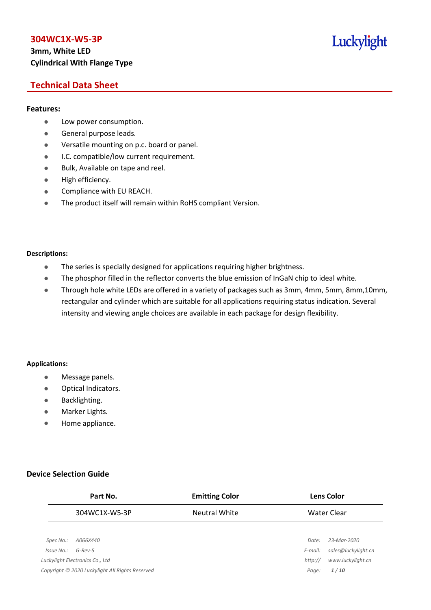# **3mm, White LED Cylindrical With Flange Type**

# Luckylight

# **Technical Data Sheet**

#### **Features:**

- **•** Low power consumption.
- **General purpose leads.**
- Versatile mounting on p.c. board or panel.
- **I.C. compatible/low current requirement.**
- Bulk, Available on tape and reel.
- $\bullet$  High efficiency.
- **•** Compliance with EU REACH.
- The product itself will remain within RoHS compliant Version.

#### **Descriptions:**

- The series is specially designed for applications requiring higher brightness.
- The phosphor filled in the reflector converts the blue emission of InGaN chip to ideal white.
- Through hole white LEDs are offered in a variety of packages such as 3mm, 4mm, 5mm, 8mm,10mm, rectangular and cylinder which are suitable for all applications requiring status indication. Several intensity and viewing angle choices are available in each package for design flexibility.

#### **Applications:**

- **•** Message panels.
- Optical Indicators.
- Backlighting.
- Marker Lights.
- Home appliance.

#### **Device Selection Guide**

|            | Part No.                                        | <b>Emitting Color</b> |         | <b>Lens Color</b>   |
|------------|-------------------------------------------------|-----------------------|---------|---------------------|
|            | 304WC1X-W5-3P                                   | <b>Neutral White</b>  |         | Water Clear         |
|            |                                                 |                       |         |                     |
| Spec No.:  | A066X440                                        |                       | Date:   | 23-Mar-2020         |
| Issue No.: | $G$ -Rev-5                                      |                       | E-mail: | sales@luckylight.cn |
|            | Luckylight Electronics Co., Ltd                 |                       | http:// | www.luckylight.cn   |
|            | Copyright © 2020 Luckylight All Rights Reserved |                       | Page:   | 1/10                |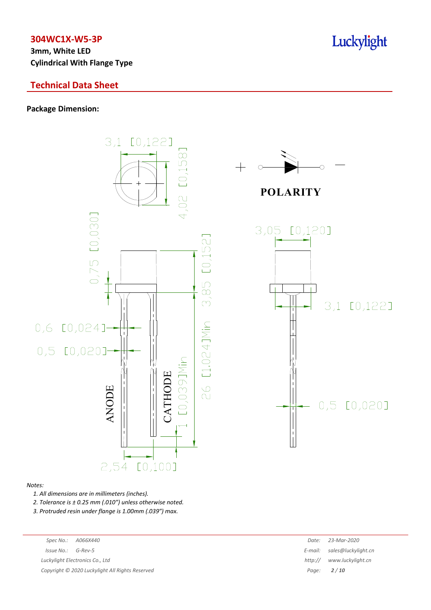**3mm, White LED Cylindrical With Flange Type**

# **Technical Data Sheet**

#### **Package Dimension:**



#### *Notes:*

*1. All dimensions are in millimeters (inches).*

*2. Tolerance is ± 0.25 mm (.010″) unless otherwise noted.*

*3. Protruded resin under flange is 1.00mm (.039″) max.*

| Spec No.:             | A066X440                                        | Date:   | 23-Mar-2020                 |
|-----------------------|-------------------------------------------------|---------|-----------------------------|
| $Is sue No.: G-Rev-5$ |                                                 |         | E-mail: sales@luckylight.cn |
|                       | Luckylight Electronics Co., Ltd                 | http:// | www.luckylight.cn           |
|                       | Copyright © 2020 Luckylight All Rights Reserved |         | Page: $2/10$                |
|                       |                                                 |         |                             |

# Luckylight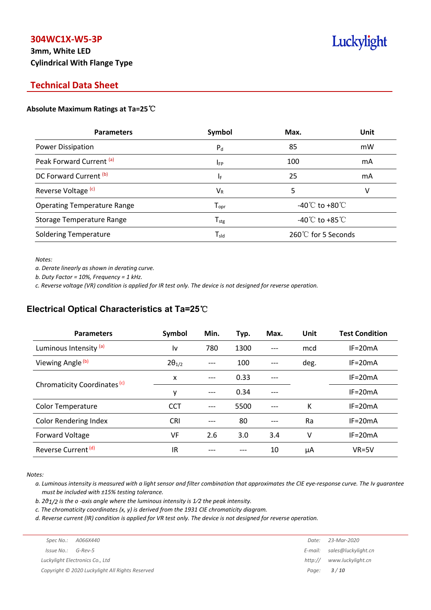# **3mm, White LED Cylindrical With Flange Type**

# Luckylight

# **Technical Data Sheet**

#### **Absolute Maximum Ratings at Ta=25**℃

| <b>Parameters</b>                  | Symbol                       | Max.                                 | Unit |
|------------------------------------|------------------------------|--------------------------------------|------|
| Power Dissipation                  | $P_{d}$                      | 85                                   | mW   |
| Peak Forward Current (a)           | $I_{FP}$                     | 100                                  | mA   |
| DC Forward Current (b)             | ΙF                           | 25                                   | mA   |
| Reverse Voltage <sup>(c)</sup>     | $V_{R}$                      | 5                                    | v    |
| <b>Operating Temperature Range</b> | ${\mathsf T}_{\textsf{opr}}$ | -40 $\mathrm{C}$ to +80 $\mathrm{C}$ |      |
| Storage Temperature Range          | ${\mathsf T}_{\text{stg}}$   | -40 $^{\circ}$ C to +85 $^{\circ}$ C |      |
| <b>Soldering Temperature</b>       | $\mathsf{T}_{\mathsf{std}}$  | 260℃ for 5 Seconds                   |      |

*Notes:*

*a. Derate linearly as shown in derating curve.*

*b. Duty Factor = 10%, Frequency = 1 kHz.*

c. Reverse voltage (VR) condition is applied for IR test only. The device is not designed for reverse operation.

### **Electrical Optical Characteristics at Ta=25**℃

| <b>Parameters</b>              | Symbol          | Min. | Typ. | Max.  | Unit | <b>Test Condition</b> |
|--------------------------------|-----------------|------|------|-------|------|-----------------------|
| Luminous Intensity (a)         | l٧              | 780  | 1300 | $---$ | mcd  | $IF = 20mA$           |
| Viewing Angle (b)              | $2\theta_{1/2}$ |      | 100  |       | deg. | $IF = 20mA$           |
|                                | X               | ---  | 0.33 |       |      | $IF = 20mA$           |
| Chromaticity Coordinates (c)   | y               | ---  | 0.34 |       |      | $IF=20mA$             |
| <b>Color Temperature</b>       | <b>CCT</b>      |      | 5500 | $---$ | К    | $IF = 20mA$           |
| <b>Color Rendering Index</b>   | <b>CRI</b>      |      | 80   |       | Ra   | $IF = 20mA$           |
| Forward Voltage                | VF              | 2.6  | 3.0  | 3.4   | v    | $IF = 20mA$           |
| Reverse Current <sup>(d)</sup> | IR              |      |      | 10    | μA   | $VR=5V$               |

*Notes:*

a. Luminous intensity is measured with a light sensor and filter combination that approximates the CIE eye-response curve. The Iv guarantee *must be included with ±15% testing tolerance.*

*b. 2θ1/2 is the o -axis angle where the luminous intensity is 1⁄2 the peak intensity.*

*c. The chromaticity coordinates (x, y) is derived from the 1931 CIE chromaticity diagram.*

d. Reverse current (IR) condition is applied for VR test only. The device is not designed for reverse operation.

|                        |                                                 | Date:   | 23-Mar-2020                 |
|------------------------|-------------------------------------------------|---------|-----------------------------|
| $Is sue No.:  G-Rev-5$ |                                                 |         | E-mail: sales@luckylight.cn |
|                        | Luckylight Electronics Co., Ltd                 | http:// | www.luckylight.cn           |
|                        | Copyright © 2020 Luckylight All Rights Reserved |         | Page: <b>3/10</b>           |
|                        |                                                 |         |                             |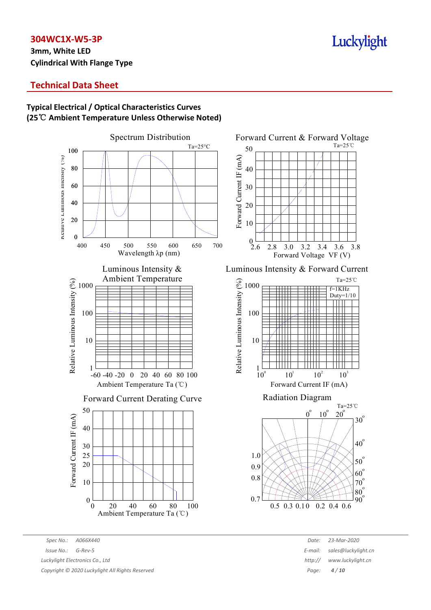# **3mm, White LED Cylindrical With Flange Type**

# Luckylight

# **Technical Data Sheet**

### **Typical Electrical / Optical Characteristics Curves (25**℃ **Ambient Temperature Unless Otherwise Noted)**



*Spec No.: A066X440 Date: 23-Mar-2020 Issue No.: G-Rev-5 E-mail: sales@luckylight.cn Luckylight Electronics Co., Ltd http:// www.luckylight.cn Copyright © 2020 Luckylight All Rights Reserved Page: 4 / 10*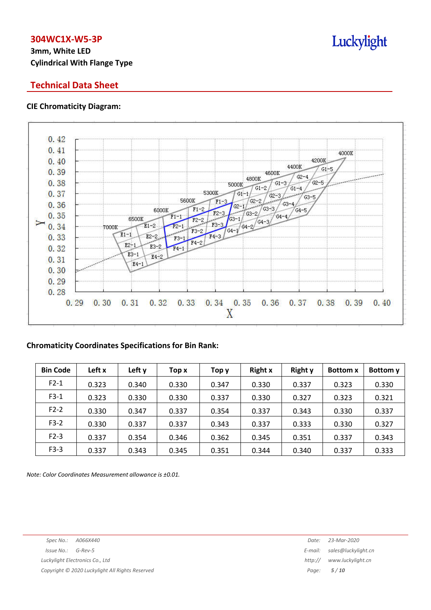# **3mm, White LED Cylindrical With Flange Type**

# **Technical Data Sheet**

#### **CIE Chromaticity Diagram:**



#### **Chromaticity Coordinates Specifications for Bin Rank:**

| <b>Bin Code</b> | Left x | Left y | Top x | Тор у | <b>Right x</b> | <b>Right y</b> | <b>Bottom</b> x | Bottom y |
|-----------------|--------|--------|-------|-------|----------------|----------------|-----------------|----------|
| $F2-1$          | 0.323  | 0.340  | 0.330 | 0.347 | 0.330          | 0.337          | 0.323           | 0.330    |
| $F3-1$          | 0.323  | 0.330  | 0.330 | 0.337 | 0.330          | 0.327          | 0.323           | 0.321    |
| $F2-2$          | 0.330  | 0.347  | 0.337 | 0.354 | 0.337          | 0.343          | 0.330           | 0.337    |
| $F3-2$          | 0.330  | 0.337  | 0.337 | 0.343 | 0.337          | 0.333          | 0.330           | 0.327    |
| $F2-3$          | 0.337  | 0.354  | 0.346 | 0.362 | 0.345          | 0.351          | 0.337           | 0.343    |
| $F3-3$          | 0.337  | 0.343  | 0.345 | 0.351 | 0.344          | 0.340          | 0.337           | 0.333    |

*Note: Color Coordinates Measurement allowance is ±0.01.*

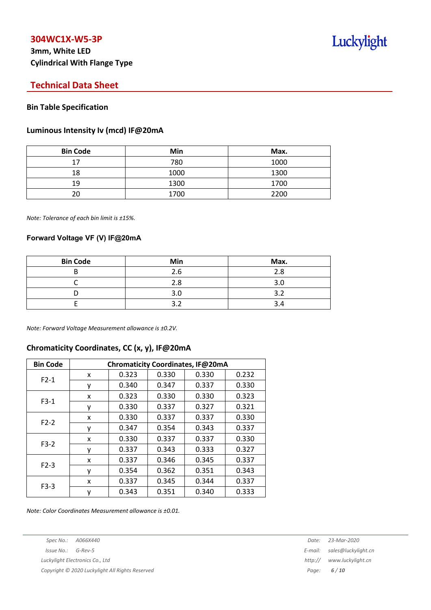# **3mm, White LED Cylindrical With Flange Type**

# Luckylight

# **Technical Data Sheet**

#### **Bin Table Specification**

#### **Luminous Intensity Iv (mcd) IF@20mA**

| <b>Bin Code</b> | Min  | Max. |
|-----------------|------|------|
| 17              | 780  | 1000 |
| 18              | 1000 | 1300 |
| 19              | 1300 | 1700 |
|                 | 1700 | 2200 |

*Note: Tolerance of each bin limit is ±15%.*

#### **Forward Voltage VF (V) IF@20mA**

| <b>Bin Code</b> | Min | Max. |
|-----------------|-----|------|
|                 | 2.6 | 2.8  |
|                 | 2.8 |      |
|                 | 3.0 |      |
|                 |     |      |

*Note: Forward Voltage Measurement allowance is ±0.2V.*

#### **Chromaticity Coordinates, CC (x, y), IF@20mA**

| <b>Bin Code</b> | Chromaticity Coordinates, IF@20mA |       |       |       |       |  |
|-----------------|-----------------------------------|-------|-------|-------|-------|--|
| $F2-1$          | x                                 | 0.323 | 0.330 | 0.330 | 0.232 |  |
|                 |                                   | 0.340 | 0.347 | 0.337 | 0.330 |  |
|                 | x                                 | 0.323 | 0.330 | 0.330 | 0.323 |  |
| $F3-1$          | ٧                                 | 0.330 | 0.337 | 0.327 | 0.321 |  |
| $F2-2$          | X                                 | 0.330 | 0.337 | 0.337 | 0.330 |  |
|                 | у                                 | 0.347 | 0.354 | 0.343 | 0.337 |  |
| $F3-2$          | x                                 | 0.330 | 0.337 | 0.337 | 0.330 |  |
|                 | ۷                                 | 0.337 | 0.343 | 0.333 | 0.327 |  |
| $F2-3$          | x                                 | 0.337 | 0.346 | 0.345 | 0.337 |  |
|                 |                                   | 0.354 | 0.362 | 0.351 | 0.343 |  |
| $F3-3$          | x                                 | 0.337 | 0.345 | 0.344 | 0.337 |  |
|                 | у                                 | 0.343 | 0.351 | 0.340 | 0.333 |  |

*Note: Color Coordinates Measurement allowance is ±0.01.*

*Spec No.: A066X440 Date: 23-Mar-2020*

*Copyright © 2020 Luckylight All Rights Reserved Page: 6 / 10*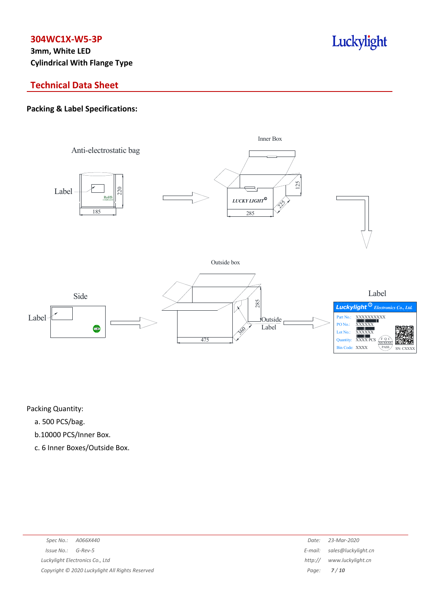**3mm, White LED Cylindrical With Flange Type**

# **Technical Data Sheet**

### **Packing & Label Specifications:**



Luckylight

Packing Quantity:

- a. 500 PCS/bag.
- b.10000 PCS/Inner Box.
- c. 6 Inner Boxes/Outside Box.

| Spec No.:<br>A066X440                           | Date:   | 23-Mar-2020                 |
|-------------------------------------------------|---------|-----------------------------|
| Issue No.:<br>G-Rev-5                           |         | E-mail: sales@luckylight.cn |
| Luckylight Electronics Co., Ltd                 | http:// | www.luckylight.cn           |
| Copyright © 2020 Luckylight All Rights Reserved |         | Page: $7/10$                |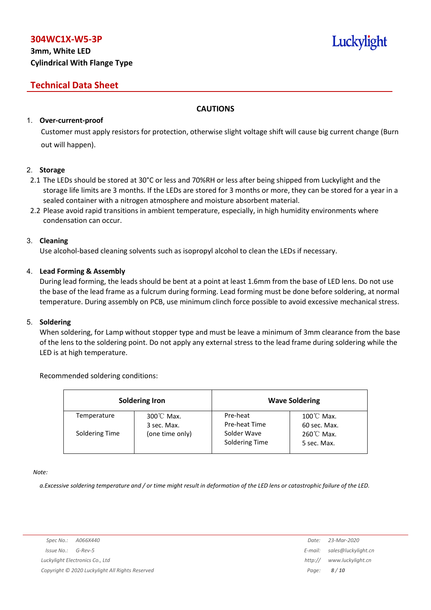# **3mm, White LED Cylindrical With Flange Type**

# **Technical Data Sheet**

#### **CAUTIONS**

#### 1. **Over-current-proof**

Customer must apply resistors for protection, otherwise slight voltage shift will cause big current change (Burn out will happen).

#### 2. **Storage**

- 2.1 The LEDs should be stored at 30°C or less and 70%RH or less after being shipped from Luckylight and the storage life limits are 3 months. If the LEDs are stored for 3 months or more, they can be stored for a year in a sealed container with a nitrogen atmosphere and moisture absorbent material.
- 2.2 Please avoid rapid transitions in ambient temperature, especially, in high humidity environments where condensation can occur.

#### 3. **Cleaning**

Use alcohol-based cleaning solvents such as isopropyl alcohol to clean the LEDs if necessary.

#### 4. **Lead Forming & Assembly**

During lead forming, the leads should be bent at a point at least 1.6mm from the base of LED lens. Do not use the base of the lead frame as a fulcrum during forming. Lead forming must be done before soldering, at normal temperature. During assembly on PCB, use minimum clinch force possible to avoid excessive mechanical stress.

#### 5. **Soldering**

When soldering, for Lamp without stopper type and must be leave a minimum of 3mm clearance from the base of the lens to the soldering point. Do not apply any external stress to the lead frame during soldering while the LED is at high temperature.

#### Recommended soldering conditions:

| <b>Soldering Iron</b> |                          |                               | <b>Wave Soldering</b>                |
|-----------------------|--------------------------|-------------------------------|--------------------------------------|
| Temperature           | 300℃ Max.<br>3 sec. Max. | Pre-heat<br>Pre-heat Time     | $100^{\circ}$ C Max.<br>60 sec. Max. |
| Soldering Time        | (one time only)          | Solder Wave<br>Soldering Time | $260^{\circ}$ C Max.<br>5 sec. Max.  |

*Note:*

a. Excessive soldering temperature and / or time might result in deformation of the LED lens or catastrophic failure of the LED.

Luckylight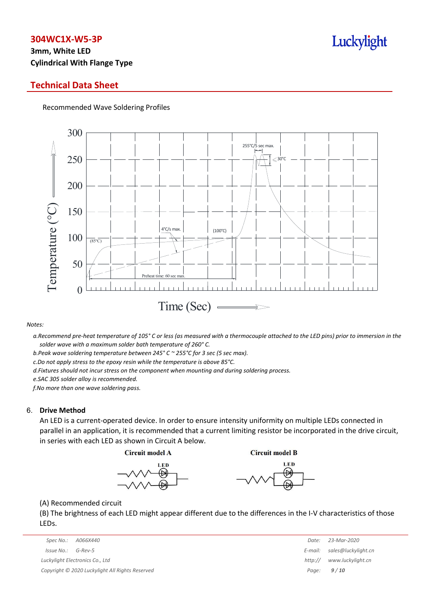# **3mm, White LED Cylindrical With Flange Type**

### **Technical Data Sheet**

Recommended Wave Soldering Profiles



#### *Notes:*

a. Recommend pre-heat temperature of 105° C or less (as measured with a thermocouple attached to the LED pins) prior to immersion in the *solder wave with a maximum solder bath temperature of 260° C.*

*b.Peak wave soldering temperature between 245° C ~ 255°C for 3 sec (5 sec max).*

*c.Do not apply stress to the epoxy resin while the temperature is above 85°C.*

*d.Fixtures should not incur stress on the component when mounting and during soldering process.*

*e.SAC 305 solder alloy is recommended.*

*f.No more than one wave soldering pass.*

#### 6. **Drive Method**

An LED is a current-operated device. In order to ensure intensity uniformity on multiple LEDs connected in parallel in an application, it is recommended that a current limiting resistor be incorporated in the drive circuit, in series with each LED as shown in Circuit A below.

**Circuit model A** 

**Circuit model B** 





(A) Recommended circuit

(B) The brightness of each LED might appear different due to the differences in the I-V characteristics of those LEDs.

| Spec No.:<br>A066X440                           | Date:   | 23-Mar-2020                 |
|-------------------------------------------------|---------|-----------------------------|
| Issue No.:<br>G-Rev-5                           |         | E-mail: sales@luckylight.cn |
| Luckylight Electronics Co., Ltd                 | http:// | www.luckylight.cn           |
| Copyright © 2020 Luckylight All Rights Reserved |         | Page: $9/10$                |

| Date:   | 23-Mar-2020         |
|---------|---------------------|
| E-mail: | sales@luckylight.cn |
| http:// | www.luckylight.cn   |
| Page:   | 9/10                |